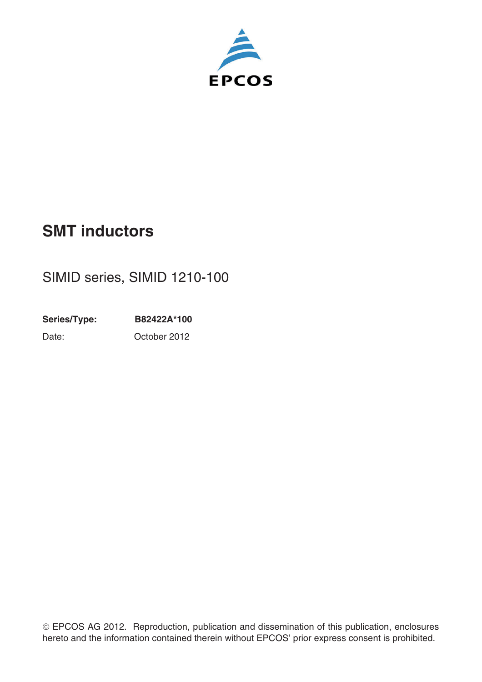

# **SMT inductors**

# SIMID series, SIMID 1210-100

**Series/Type: B82422A\*100** Date: October 2012

-EPCOS AG 2012. Reproduction, publication and dissemination of this publication, enclosures hereto and the information contained therein without EPCOS' prior express consent is prohibited.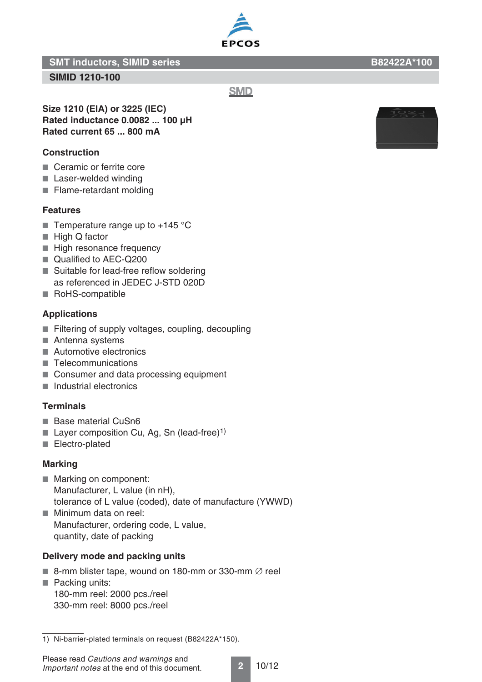**SIMID 1210-100**

**Size 1210 (EIA) or 3225 (IEC) Rated inductance 0.0082 ... 100 μH Rated current 65 ... 800 mA**

#### **Construction**

- Ceramic or ferrite core
- Laser-welded winding
- Flame-retardant molding

#### **Features**

- Temperature range up to  $+145$  °C
- High Q factor
- High resonance frequency
- Qualified to AEC-Q200
- Suitable for lead-free reflow soldering as referenced in JEDEC J-STD 020D
- RoHS-compatible

#### **Applications**

- Filtering of supply voltages, coupling, decoupling
- Antenna systems
- Automotive electronics
- Telecommunications
- Consumer and data processing equipment
- Industrial electronics

#### **Terminals**

- Base material CuSn6
- **Layer composition Cu, Ag, Sn (lead-free)**<sup>1)</sup>
- Electro-plated

#### **Marking**

- Marking on component: Manufacturer, L value (in nH), tolerance of L value (coded), date of manufacture (YWWD)
- Minimum data on reel: Manufacturer, ordering code, L value, quantity, date of packing

#### **Delivery mode and packing units**

- 8-mm blister tape, wound on 180-mm or 330-mm  $\varnothing$  reel
- Packing units: 180-mm reel: 2000 pcs./reel 330-mm reel: 8000 pcs./reel



**SMD** 



<sup>1)</sup> Ni-barrier-plated terminals on request (B82422A\*150).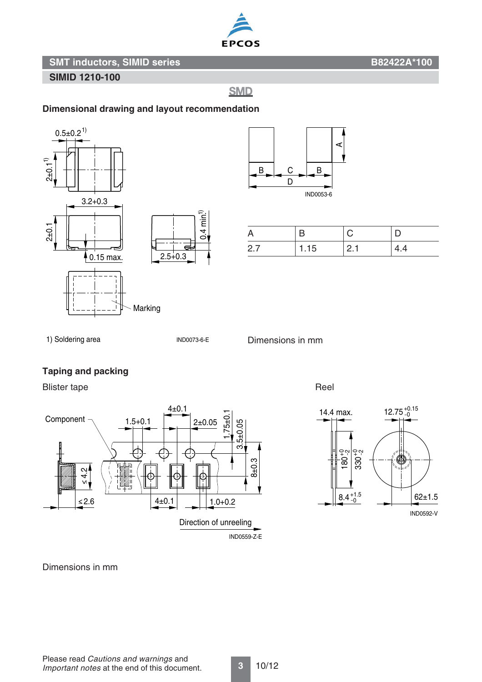

#### **SIMID 1210-100**

# **SMD**

#### **Dimensional drawing and layout recommendation**



![](_page_2_Figure_7.jpeg)

| A   |      |      |     |
|-----|------|------|-----|
| 2.7 | 1.15 | 12.1 | 4.4 |

1) Soldering area

IND0073-6-E

d

 $0.4 \text{ min}^{1}$ 

Dimensions in mm

#### **Taping and packing**

Blister tape Reel

![](_page_2_Figure_14.jpeg)

![](_page_2_Figure_16.jpeg)

Dimensions in mm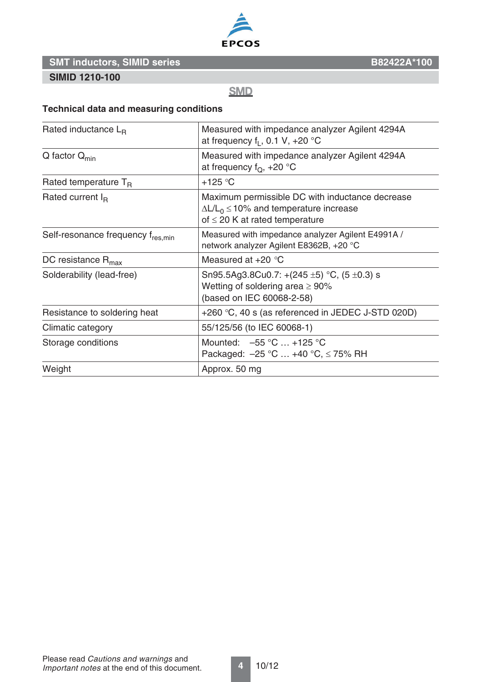![](_page_3_Picture_0.jpeg)

#### **SIMID 1210-100**

**SMD** 

# **Technical data and measuring conditions**

| Rated inductance $L_{B}$          | Measured with impedance analyzer Agilent 4294A<br>at frequency $f_1$ , 0.1 V, +20 °C                                                       |
|-----------------------------------|--------------------------------------------------------------------------------------------------------------------------------------------|
| $Q$ factor $Q_{min}$              | Measured with impedance analyzer Agilent 4294A<br>at frequency $f_Q$ , +20 °C                                                              |
| Rated temperature $T_B$           | $+125$ °C                                                                                                                                  |
| Rated current $I_R$               | Maximum permissible DC with inductance decrease<br>$\Delta L/L_0 \le 10\%$ and temperature increase<br>of $\leq$ 20 K at rated temperature |
| Self-resonance frequency fres.min | Measured with impedance analyzer Agilent E4991A /<br>network analyzer Agilent E8362B, +20 °C                                               |
| DC resistance $R_{\text{max}}$    | Measured at $+20$ °C                                                                                                                       |
| Solderability (lead-free)         | Sn95.5Ag3.8Cu0.7: +(245 $\pm$ 5) °C, (5 $\pm$ 0.3) s<br>Wetting of soldering area $\geq 90\%$<br>(based on IEC 60068-2-58)                 |
| Resistance to soldering heat      | +260 °C, 40 s (as referenced in JEDEC J-STD 020D)                                                                                          |
| Climatic category                 | 55/125/56 (to IEC 60068-1)                                                                                                                 |
| Storage conditions                | Mounted: $-55 °C  +125 °C$<br>Packaged: $-25$ °C  +40 °C, $\leq$ 75% RH                                                                    |
| Weight                            | Approx. 50 mg                                                                                                                              |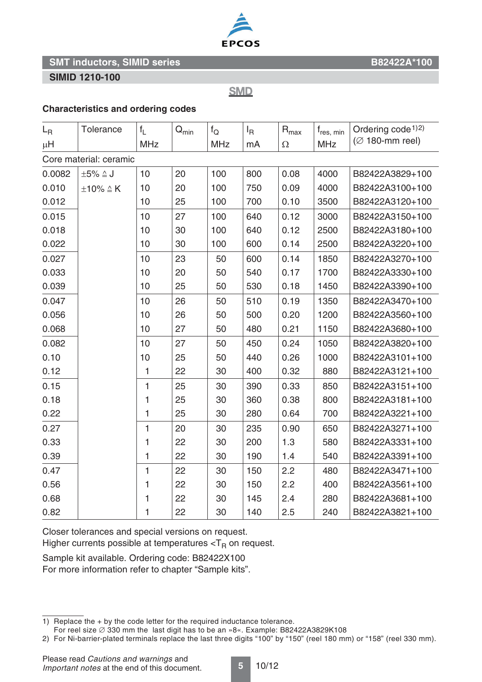![](_page_4_Picture_0.jpeg)

#### **SIMID 1210-100**

**SMD** 

#### **Characteristics and ordering codes**

| $L_{\rm R}$            | Tolerance               | $f_L$        | $Q_{min}$ | $f_{Q}$    | $I_{\mathsf{R}}$ | $\mathsf{R}_{\text{max}}$ | $f_{res, min}$ | Ordering code <sup>1)2)</sup><br>$(Ø 180$ -mm reel) |
|------------------------|-------------------------|--------------|-----------|------------|------------------|---------------------------|----------------|-----------------------------------------------------|
| $\mu$ H                |                         | <b>MHz</b>   |           | <b>MHz</b> | mA               | Ω                         | <b>MHz</b>     |                                                     |
| Core material: ceramic |                         |              |           |            |                  |                           |                |                                                     |
| 0.0082                 | $\pm 5\% \triangleq J$  | 10           | 20        | 100        | 800              | 0.08                      | 4000           | B82422A3829+100                                     |
| 0.010                  | $\pm 10\% \triangleq K$ | 10           | 20        | 100        | 750              | 0.09                      | 4000           | B82422A3100+100                                     |
| 0.012                  |                         | 10           | 25        | 100        | 700              | 0.10                      | 3500           | B82422A3120+100                                     |
| 0.015                  |                         | 10           | 27        | 100        | 640              | 0.12                      | 3000           | B82422A3150+100                                     |
| 0.018                  |                         | 10           | 30        | 100        | 640              | 0.12                      | 2500           | B82422A3180+100                                     |
| 0.022                  |                         | 10           | 30        | 100        | 600              | 0.14                      | 2500           | B82422A3220+100                                     |
| 0.027                  |                         | 10           | 23        | 50         | 600              | 0.14                      | 1850           | B82422A3270+100                                     |
| 0.033                  |                         | 10           | 20        | 50         | 540              | 0.17                      | 1700           | B82422A3330+100                                     |
| 0.039                  |                         | 10           | 25        | 50         | 530              | 0.18                      | 1450           | B82422A3390+100                                     |
| 0.047                  |                         | 10           | 26        | 50         | 510              | 0.19                      | 1350           | B82422A3470+100                                     |
| 0.056                  |                         | 10           | 26        | 50         | 500              | 0.20                      | 1200           | B82422A3560+100                                     |
| 0.068                  |                         | 10           | 27        | 50         | 480              | 0.21                      | 1150           | B82422A3680+100                                     |
| 0.082                  |                         | 10           | 27        | 50         | 450              | 0.24                      | 1050           | B82422A3820+100                                     |
| 0.10                   |                         | 10           | 25        | 50         | 440              | 0.26                      | 1000           | B82422A3101+100                                     |
| 0.12                   |                         | 1            | 22        | 30         | 400              | 0.32                      | 880            | B82422A3121+100                                     |
| 0.15                   |                         | $\mathbf{1}$ | 25        | 30         | 390              | 0.33                      | 850            | B82422A3151+100                                     |
| 0.18                   |                         | 1            | 25        | 30         | 360              | 0.38                      | 800            | B82422A3181+100                                     |
| 0.22                   |                         | 1            | 25        | 30         | 280              | 0.64                      | 700            | B82422A3221+100                                     |
| 0.27                   |                         | $\mathbf{1}$ | 20        | 30         | 235              | 0.90                      | 650            | B82422A3271+100                                     |
| 0.33                   |                         | 1            | 22        | 30         | 200              | 1.3                       | 580            | B82422A3331+100                                     |
| 0.39                   |                         | 1            | 22        | 30         | 190              | 1.4                       | 540            | B82422A3391+100                                     |
| 0.47                   |                         | $\mathbf{1}$ | 22        | 30         | 150              | 2.2                       | 480            | B82422A3471+100                                     |
| 0.56                   |                         | 1            | 22        | 30         | 150              | 2.2                       | 400            | B82422A3561+100                                     |
| 0.68                   |                         | 1            | 22        | 30         | 145              | 2.4                       | 280            | B82422A3681+100                                     |
| 0.82                   |                         | 1            | 22        | 30         | 140              | 2.5                       | 240            | B82422A3821+100                                     |

Closer tolerances and special versions on request.

Higher currents possible at temperatures  $<$ T<sub>R</sub> on request.

Sample kit available. Ordering code: B82422X100 For more information refer to chapter "Sample kits".

**5** 10/12

<sup>1)</sup> Replace the + by the code letter for the required inductance tolerance.

For reel size  $\varnothing$  330 mm the last digit has to be an »8«. Example: B82422A3829K108

<sup>2)</sup> For Ni-barrier-plated terminals replace the last three digits "100" by "150" (reel 180 mm) or "158" (reel 330 mm).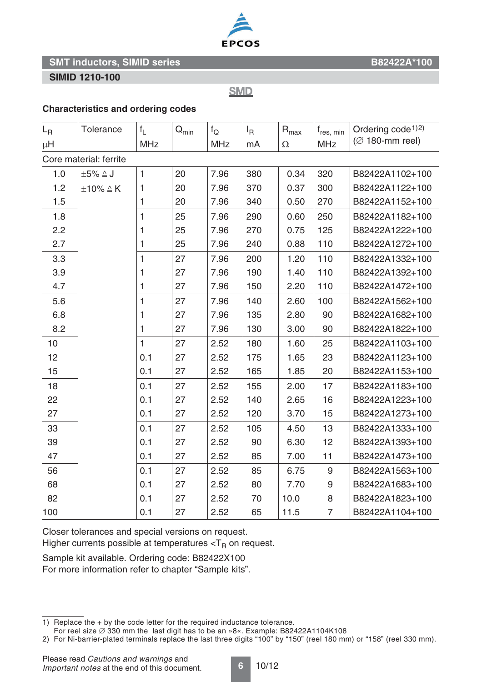![](_page_5_Picture_0.jpeg)

#### **SIMID 1210-100**

**SMD** 

#### **Characteristics and ordering codes**

| $L_{\rm R}$            | Tolerance               | $f_{\parallel}$ | $Q_{min}$ | $f_{\rm Q}$ | $I_R$ | $R_{\text{max}}$ | $f_{res, min}$   | Ordering code <sup>1)2)</sup> |
|------------------------|-------------------------|-----------------|-----------|-------------|-------|------------------|------------------|-------------------------------|
| μH                     |                         | <b>MHz</b>      |           | MHz         | mA    | $\Omega$         | <b>MHz</b>       | $(Ø 180$ -mm reel)            |
| Core material: ferrite |                         |                 |           |             |       |                  |                  |                               |
| 1.0                    | $\pm 5\% \triangleq J$  | $\mathbf{1}$    | 20        | 7.96        | 380   | 0.34             | 320              | B82422A1102+100               |
| 1.2                    | $\pm 10\% \triangleq K$ | 1               | 20        | 7.96        | 370   | 0.37             | 300              | B82422A1122+100               |
| 1.5                    |                         | 1               | 20        | 7.96        | 340   | 0.50             | 270              | B82422A1152+100               |
| 1.8                    |                         | $\mathbf{1}$    | 25        | 7.96        | 290   | 0.60             | 250              | B82422A1182+100               |
| 2.2                    |                         | 1               | 25        | 7.96        | 270   | 0.75             | 125              | B82422A1222+100               |
| 2.7                    |                         | 1               | 25        | 7.96        | 240   | 0.88             | 110              | B82422A1272+100               |
| 3.3                    |                         | $\mathbf{1}$    | 27        | 7.96        | 200   | 1.20             | 110              | B82422A1332+100               |
| 3.9                    |                         | 1               | 27        | 7.96        | 190   | 1.40             | 110              | B82422A1392+100               |
| 4.7                    |                         | 1               | 27        | 7.96        | 150   | 2.20             | 110              | B82422A1472+100               |
| 5.6                    |                         | $\mathbf{1}$    | 27        | 7.96        | 140   | 2.60             | 100              | B82422A1562+100               |
| 6.8                    |                         | 1               | 27        | 7.96        | 135   | 2.80             | 90               | B82422A1682+100               |
| 8.2                    |                         | 1               | 27        | 7.96        | 130   | 3.00             | 90               | B82422A1822+100               |
| 10                     |                         | $\mathbf{1}$    | 27        | 2.52        | 180   | 1.60             | 25               | B82422A1103+100               |
| 12                     |                         | 0.1             | 27        | 2.52        | 175   | 1.65             | 23               | B82422A1123+100               |
| 15                     |                         | 0.1             | 27        | 2.52        | 165   | 1.85             | 20               | B82422A1153+100               |
| 18                     |                         | 0.1             | 27        | 2.52        | 155   | 2.00             | 17               | B82422A1183+100               |
| 22                     |                         | 0.1             | 27        | 2.52        | 140   | 2.65             | 16               | B82422A1223+100               |
| 27                     |                         | 0.1             | 27        | 2.52        | 120   | 3.70             | 15               | B82422A1273+100               |
| 33                     |                         | 0.1             | 27        | 2.52        | 105   | 4.50             | 13               | B82422A1333+100               |
| 39                     |                         | 0.1             | 27        | 2.52        | 90    | 6.30             | 12               | B82422A1393+100               |
| 47                     |                         | 0.1             | 27        | 2.52        | 85    | 7.00             | 11               | B82422A1473+100               |
| 56                     |                         | 0.1             | 27        | 2.52        | 85    | 6.75             | 9                | B82422A1563+100               |
| 68                     |                         | 0.1             | 27        | 2.52        | 80    | 7.70             | $\boldsymbol{9}$ | B82422A1683+100               |
| 82                     |                         | 0.1             | 27        | 2.52        | 70    | 10.0             | 8                | B82422A1823+100               |
| 100                    |                         | 0.1             | 27        | 2.52        | 65    | 11.5             | 7                | B82422A1104+100               |

Closer tolerances and special versions on request.

Higher currents possible at temperatures  $<$ T<sub>R</sub> on request.

Sample kit available. Ordering code: B82422X100

For more information refer to chapter "Sample kits".

**6** 10/12

<sup>1)</sup> Replace the + by the code letter for the required inductance tolerance.

For reel size  $\varnothing$  330 mm the last digit has to be an »8«. Example: B82422A1104K108

<sup>2)</sup> For Ni-barrier-plated terminals replace the last three digits "100" by "150" (reel 180 mm) or "158" (reel 330 mm).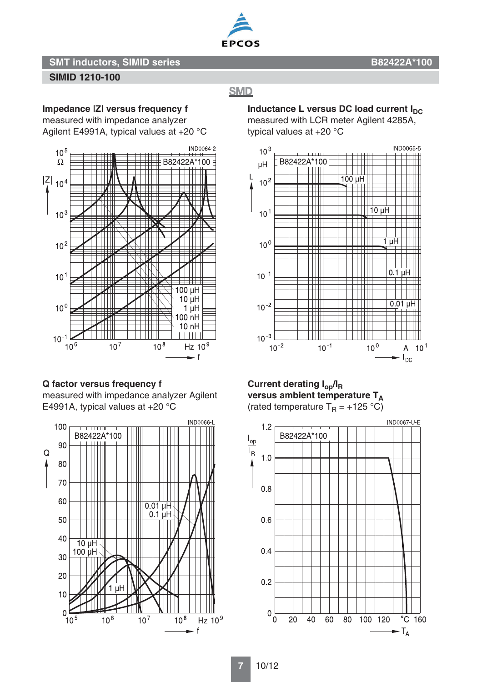![](_page_6_Picture_0.jpeg)

### **SIMID 1210-100**

# **SMD**

**Impedance |Z| versus frequency f**

measured with impedance analyzer

Agilent E4991A, typical values at +20 °C

![](_page_6_Figure_8.jpeg)

# **Q factor versus frequency f**

measured with impedance analyzer Agilent E4991A, typical values at +20 °C

![](_page_6_Figure_11.jpeg)

**Inductance L versus DC load current I<sub>DC</sub>** measured with LCR meter Agilent 4285A, typical values at +20 °C

![](_page_6_Figure_13.jpeg)

**Current derating Iop/IR** versus ambient temperature T<sub>A</sub> (rated temperature  $T_R = +125 \degree C$ )

![](_page_6_Figure_15.jpeg)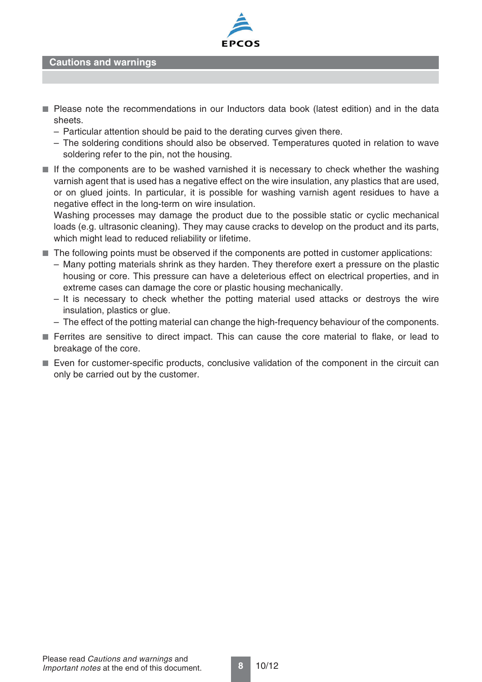![](_page_7_Picture_0.jpeg)

**Cautions and warnings**

- Please note the recommendations in our Inductors data book (latest edition) and in the data sheets.
	- Particular attention should be paid to the derating curves given there.
	- The soldering conditions should also be observed. Temperatures quoted in relation to wave soldering refer to the pin, not the housing.
- If the components are to be washed varnished it is necessary to check whether the washing varnish agent that is used has a negative effect on the wire insulation, any plastics that are used, or on glued joints. In particular, it is possible for washing varnish agent residues to have a negative effect in the long-term on wire insulation.

Washing processes may damage the product due to the possible static or cyclic mechanical loads (e.g. ultrasonic cleaning). They may cause cracks to develop on the product and its parts, which might lead to reduced reliability or lifetime.

- The following points must be observed if the components are potted in customer applications:
	- Many potting materials shrink as they harden. They therefore exert a pressure on the plastic housing or core. This pressure can have a deleterious effect on electrical properties, and in extreme cases can damage the core or plastic housing mechanically.
	- It is necessary to check whether the potting material used attacks or destroys the wire insulation, plastics or glue.
	- The effect of the potting material can change the high-frequency behaviour of the components.
- Ferrites are sensitive to direct impact. This can cause the core material to flake, or lead to breakage of the core.
- Even for customer-specific products, conclusive validation of the component in the circuit can only be carried out by the customer.